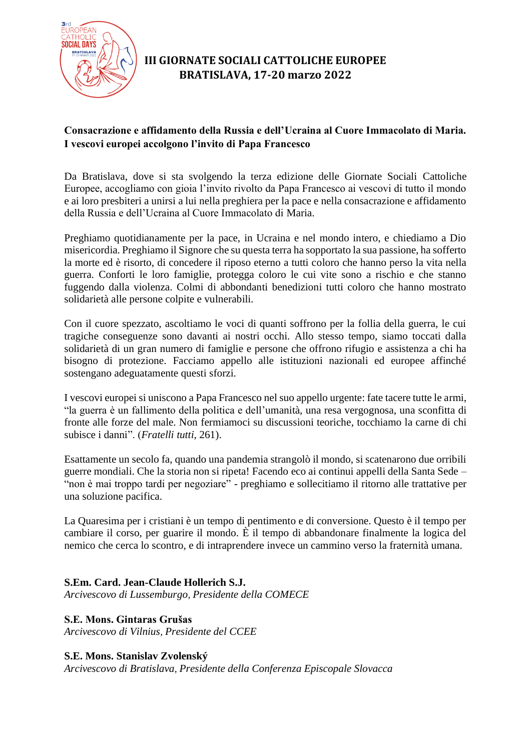

# **III GIORNATE SOCIALI CATTOLICHE EUROPEE BRATISLAVA, 17-20 marzo 2022**

## **Consacrazione e affidamento della Russia e dell'Ucraina al Cuore Immacolato di Maria. I vescovi europei accolgono l'invito di Papa Francesco**

Da Bratislava, dove si sta svolgendo la terza edizione delle Giornate Sociali Cattoliche Europee, accogliamo con gioia l'invito rivolto da Papa Francesco ai vescovi di tutto il mondo e ai loro presbiteri a unirsi a lui nella preghiera per la pace e nella consacrazione e affidamento della Russia e dell'Ucraina al Cuore Immacolato di Maria.

Preghiamo quotidianamente per la pace, in Ucraina e nel mondo intero, e chiediamo a Dio misericordia. Preghiamo il Signore che su questa terra ha sopportato la sua passione, ha sofferto la morte ed è risorto, di concedere il riposo eterno a tutti coloro che hanno perso la vita nella guerra. Conforti le loro famiglie, protegga coloro le cui vite sono a rischio e che stanno fuggendo dalla violenza. Colmi di abbondanti benedizioni tutti coloro che hanno mostrato solidarietà alle persone colpite e vulnerabili.

Con il cuore spezzato, ascoltiamo le voci di quanti soffrono per la follia della guerra, le cui tragiche conseguenze sono davanti ai nostri occhi. Allo stesso tempo, siamo toccati dalla solidarietà di un gran numero di famiglie e persone che offrono rifugio e assistenza a chi ha bisogno di protezione. Facciamo appello alle istituzioni nazionali ed europee affinché sostengano adeguatamente questi sforzi.

I vescovi europei si uniscono a Papa Francesco nel suo appello urgente: fate tacere tutte le armi, "la guerra è un fallimento della politica e dell'umanità, una resa vergognosa, una sconfitta di fronte alle forze del male. Non fermiamoci su discussioni teoriche, tocchiamo la carne di chi subisce i danni". (*Fratelli tutti*, 261).

Esattamente un secolo fa, quando una pandemia strangolò il mondo, si scatenarono due orribili guerre mondiali. Che la storia non si ripeta! Facendo eco ai continui appelli della Santa Sede – "non è mai troppo tardi per negoziare" - preghiamo e sollecitiamo il ritorno alle trattative per una soluzione pacifica.

La Quaresima per i cristiani è un tempo di pentimento e di conversione. Questo è il tempo per cambiare il corso, per guarire il mondo. È il tempo di abbandonare finalmente la logica del nemico che cerca lo scontro, e di intraprendere invece un cammino verso la fraternità umana.

## **S.Em. Card. Jean-Claude Hollerich S.J.**

*Arcivescovo di Lussemburgo, Presidente della COMECE*

## **S.E. Mons. Gintaras Grušas**

*Arcivescovo di Vilnius, Presidente del CCEE*

## **S.E. Mons. Stanislav Zvolenský**

*Arcivescovo di Bratislava, Presidente della Conferenza Episcopale Slovacca*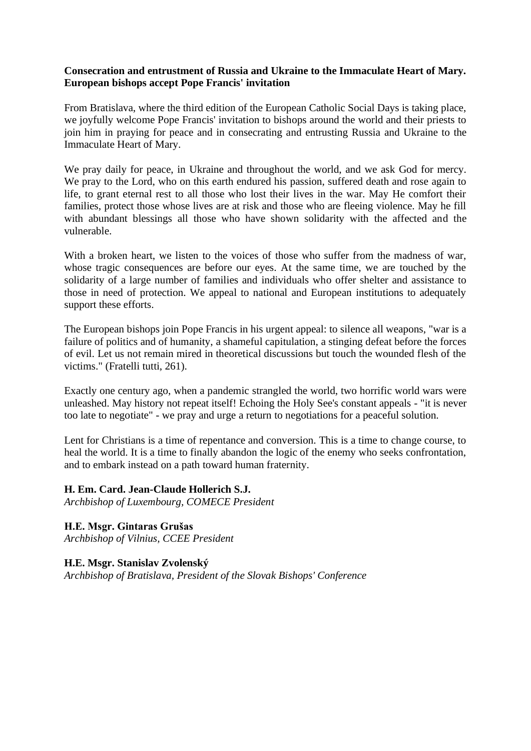#### **Consecration and entrustment of Russia and Ukraine to the Immaculate Heart of Mary. European bishops accept Pope Francis' invitation**

From Bratislava, where the third edition of the European Catholic Social Days is taking place, we joyfully welcome Pope Francis' invitation to bishops around the world and their priests to join him in praying for peace and in consecrating and entrusting Russia and Ukraine to the Immaculate Heart of Mary.

We pray daily for peace, in Ukraine and throughout the world, and we ask God for mercy. We pray to the Lord, who on this earth endured his passion, suffered death and rose again to life, to grant eternal rest to all those who lost their lives in the war. May He comfort their families, protect those whose lives are at risk and those who are fleeing violence. May he fill with abundant blessings all those who have shown solidarity with the affected and the vulnerable.

With a broken heart, we listen to the voices of those who suffer from the madness of war, whose tragic consequences are before our eyes. At the same time, we are touched by the solidarity of a large number of families and individuals who offer shelter and assistance to those in need of protection. We appeal to national and European institutions to adequately support these efforts.

The European bishops join Pope Francis in his urgent appeal: to silence all weapons, "war is a failure of politics and of humanity, a shameful capitulation, a stinging defeat before the forces of evil. Let us not remain mired in theoretical discussions but touch the wounded flesh of the victims." (Fratelli tutti, 261).

Exactly one century ago, when a pandemic strangled the world, two horrific world wars were unleashed. May history not repeat itself! Echoing the Holy See's constant appeals - "it is never too late to negotiate" - we pray and urge a return to negotiations for a peaceful solution.

Lent for Christians is a time of repentance and conversion. This is a time to change course, to heal the world. It is a time to finally abandon the logic of the enemy who seeks confrontation, and to embark instead on a path toward human fraternity.

#### **H. Em. Card. Jean-Claude Hollerich S.J.**

*Archbishop of Luxembourg, COMECE President*

**H.E. Msgr. Gintaras Grušas** *Archbishop of Vilnius, CCEE President*

## **H.E. Msgr. Stanislav Zvolenský** *Archbishop of Bratislava, President of the Slovak Bishops' Conference*